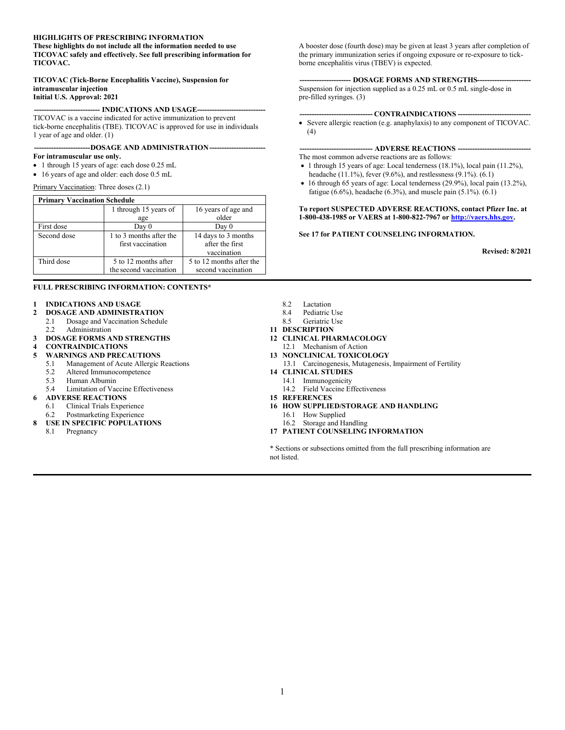#### **HIGHLIGHTS OF PRESCRIBING INFORMATION**

**These highlights do not include all the information needed to use TICOVAC safely and effectively. See full prescribing information for TICOVAC.**

#### **TICOVAC (Tick-Borne Encephalitis Vaccine), Suspension for intramuscular injection**

#### **Initial U.S. Approval: 2021**

#### **--------------------------- INDICATIONS AND USAGE----------------------------**

TICOVAC is a vaccine indicated for active immunization to prevent tick-borne encephalitis (TBE). TICOVAC is approved for use in individuals 1 year of age and older. (1)

#### **-----------------------DOSAGE AND ADMINISTRATION-----------------------**

#### **For intramuscular use only.**

- 1 through 15 years of age: each dose 0.25 mL
- 16 years of age and older: each dose 0.5 mL

Primary Vaccination: Three doses (2.1)

| <b>Primary Vaccination Schedule</b> |                                                |                                                       |  |
|-------------------------------------|------------------------------------------------|-------------------------------------------------------|--|
|                                     | 1 through 15 years of                          | 16 years of age and                                   |  |
|                                     | age                                            | older                                                 |  |
| First dose                          | Day 0                                          | Day 0                                                 |  |
| Second dose                         | 1 to 3 months after the<br>first vaccination   | 14 days to 3 months<br>after the first<br>vaccination |  |
| Third dose                          | 5 to 12 months after<br>the second vaccination | 5 to 12 months after the<br>second vaccination        |  |

#### **FULL PRESCRIBING INFORMATION: CONTENTS\***

- **1 INDICATIONS AND USAGE**
- **2 DOSAGE AND ADMINISTRATION**
	- 2.1 Dosage and Vaccination Schedule
	- 2.2 Administration
- **3 DOSAGE FORMS AND STRENGTHS**
- **4 CONTRAINDICATIONS**

#### **5 WARNINGS AND PRECAUTIONS**

- 5.1 Management of Acute Allergic Reactions
	- 5.2 Altered Immunocompetence<br>5.3 Human Albumin
	- 5.3 Human Albumin
	- 5.4 Limitation of Vaccine Effectiveness
- **6 ADVERSE REACTIONS**
	- 6.1 Clinical Trials Experience<br>6.2 Postmarketing Experience
	- Postmarketing Experience
- **8 USE IN SPECIFIC POPULATIONS**
	- 8.1 Pregnancy

A booster dose (fourth dose) may be given at least 3 years after completion of the primary immunization series if ongoing exposure or re-exposure to tickborne encephalitis virus (TBEV) is expected.

#### -- **DOSAGE FORMS AND STRENGTHS---**

Suspension for injection supplied as a 0.25 mL or 0.5 mL single-dose in pre-filled syringes. (3)

#### **------------------------------ CONTRAINDICATIONS ------------------------------**

 Severe allergic reaction (e.g. anaphylaxis) to any component of TICOVAC. (4)

#### **------------------------------ ADVERSE REACTIONS ------------------------------**

The most common adverse reactions are as follows:

- $\bullet$  1 through 15 years of age: Local tenderness (18.1%), local pain (11.2%), headache (11.1%), fever (9.6%), and restlessness (9.1%). (6.1)
- 16 through 65 years of age: Local tenderness (29.9%), local pain (13.2%), fatigue (6.6%), headache (6.3%), and muscle pain (5.1%). (6.1)

#### **To report SUSPECTED ADVERSE REACTIONS, contact Pfizer Inc. at 1-800-438-1985 or VAERS at 1-800-822-7967 or [http://vaers.hhs.gov](http://vaers.hhs.gov/).**

#### **See 17 for PATIENT COUNSELING INFORMATION.**

**Revised: 8/2021**

- 8.2 Lactation
- 8.4 Pediatric Use<br>8.5 Geriatric Use
- Geriatric Use
- **11 DESCRIPTION**
- **12 CLINICAL PHARMACOLOGY**
- 12.1 Mechanism of Action
- **13 NONCLINICAL TOXICOLOGY**
- 13.1 Carcinogenesis, Mutagenesis, Impairment of Fertility
- **14 CLINICAL STUDIES**
	- 14.1 Immunogenicity
	- 14.2 Field Vaccine Effectiveness
- **15 REFERENCES**
- **16 HOW SUPPLIED/STORAGE AND HANDLING**
	- 16.1 How Supplied
	- 16.2 Storage and Handling
- **17 PATIENT COUNSELING INFORMATION**

\* Sections or subsections omitted from the full prescribing information are not listed.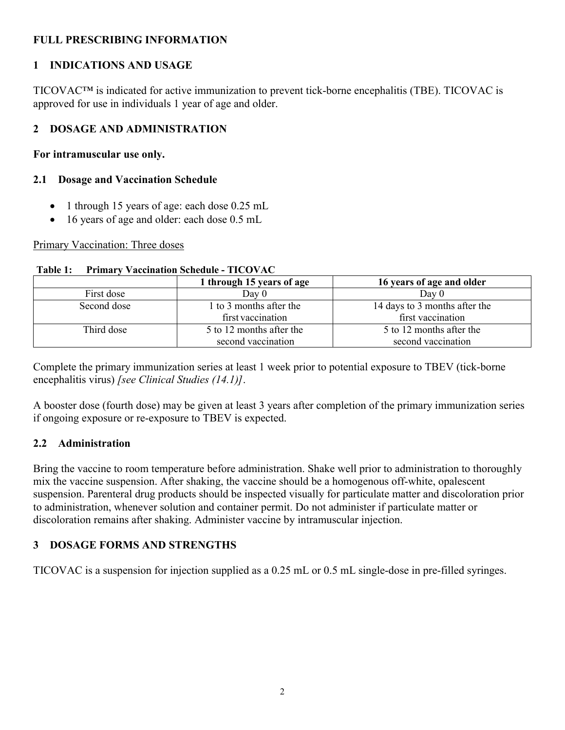## **FULL PRESCRIBING INFORMATION**

## **1 INDICATIONS AND USAGE**

TICOVAC™ is indicated for active immunization to prevent tick-borne encephalitis (TBE). TICOVAC is approved for use in individuals 1 year of age and older.

# **2 DOSAGE AND ADMINISTRATION**

**For intramuscular use only.**

## **2.1 Dosage and Vaccination Schedule**

- 1 through 15 years of age: each dose 0.25 mL
- 16 years of age and older: each dose 0.5 mL

### Primary Vaccination: Three doses

|             | 1 through 15 years of age | 16 years of age and older     |  |
|-------------|---------------------------|-------------------------------|--|
| First dose  | Day 0                     | Day $0$                       |  |
| Second dose | 1 to 3 months after the   | 14 days to 3 months after the |  |
|             | first vaccination         | first vaccination             |  |
| Third dose  | 5 to 12 months after the  | 5 to 12 months after the      |  |
|             | second vaccination        | second vaccination            |  |

### **Table 1: Primary Vaccination Schedule - TICOVAC**

Complete the primary immunization series at least 1 week prior to potential exposure to TBEV (tick-borne encephalitis virus) *[see Clinical Studies (14.1)]*.

A booster dose (fourth dose) may be given at least 3 years after completion of the primary immunization series if ongoing exposure or re-exposure to TBEV is expected.

# **2.2 Administration**

Bring the vaccine to room temperature before administration. Shake well prior to administration to thoroughly mix the vaccine suspension. After shaking, the vaccine should be a homogenous off-white, opalescent suspension. Parenteral drug products should be inspected visually for particulate matter and discoloration prior to administration, whenever solution and container permit. Do not administer if particulate matter or discoloration remains after shaking. Administer vaccine by intramuscular injection.

# **3 DOSAGE FORMS AND STRENGTHS**

TICOVAC is a suspension for injection supplied as a 0.25 mL or 0.5 mL single-dose in pre-filled syringes.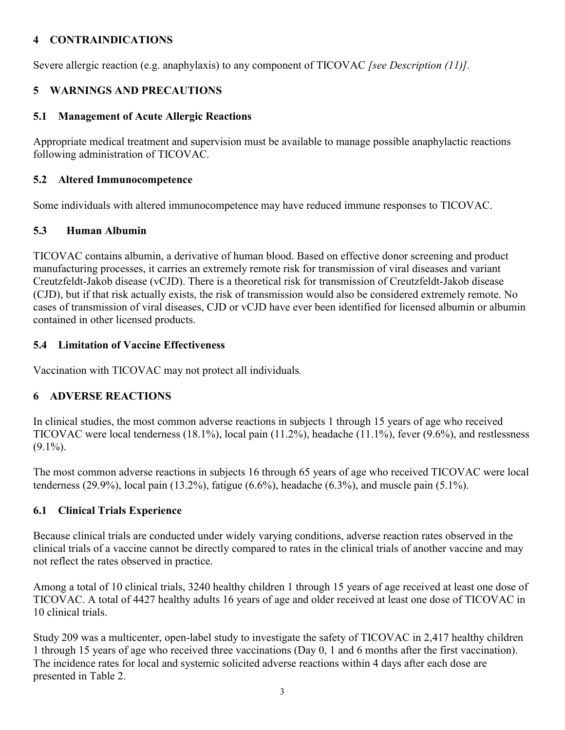## **4 CONTRAINDICATIONS**

Severe allergic reaction (e.g. anaphylaxis) to any component of TICOVAC *[see Description (11)].*

## **5 WARNINGS AND PRECAUTIONS**

## **5.1 Management of Acute Allergic Reactions**

Appropriate medical treatment and supervision must be available to manage possible anaphylactic reactions following administration of TICOVAC*.*

## **5.2 Altered Immunocompetence**

Some individuals with altered immunocompetence may have reduced immune responses to TICOVAC.

## **5.3 Human Albumin**

TICOVAC contains albumin, a derivative of human blood. Based on effective donor screening and product manufacturing processes, it carries an extremely remote risk for transmission of viral diseases and variant Creutzfeldt-Jakob disease (vCJD). There is a theoretical risk for transmission of Creutzfeldt-Jakob disease (CJD), but if that risk actually exists, the risk of transmission would also be considered extremely remote. No cases of transmission of viral diseases, CJD or vCJD have ever been identified for licensed albumin or albumin contained in other licensed products.

## **5.4 Limitation of Vaccine Effectiveness**

Vaccination with TICOVAC may not protect all individuals*.*

## **6 ADVERSE REACTIONS**

In clinical studies, the most common adverse reactions in subjects 1 through 15 years of age who received TICOVAC were local tenderness (18.1%), local pain (11.2%), headache (11.1%), fever (9.6%), and restlessness  $(9.1\%)$ .

The most common adverse reactions in subjects 16 through 65 years of age who received TICOVAC were local tenderness (29.9%), local pain (13.2%), fatigue (6.6%), headache (6.3%), and muscle pain (5.1%).

## **6.1 Clinical Trials Experience**

Because clinical trials are conducted under widely varying conditions, adverse reaction rates observed in the clinical trials of a vaccine cannot be directly compared to rates in the clinical trials of another vaccine and may not reflect the rates observed in practice.

Among a total of 10 clinical trials, 3240 healthy children 1 through 15 years of age received at least one dose of TICOVAC. A total of 4427 healthy adults 16 years of age and older received at least one dose of TICOVAC in 10 clinical trials.

Study 209 was a multicenter, open-label study to investigate the safety of TICOVAC in 2,417 healthy children 1 through 15 years of age who received three vaccinations (Day 0, 1 and 6 months after the first vaccination). The incidence rates for local and systemic solicited adverse reactions within 4 days after each dose are presented in Table 2.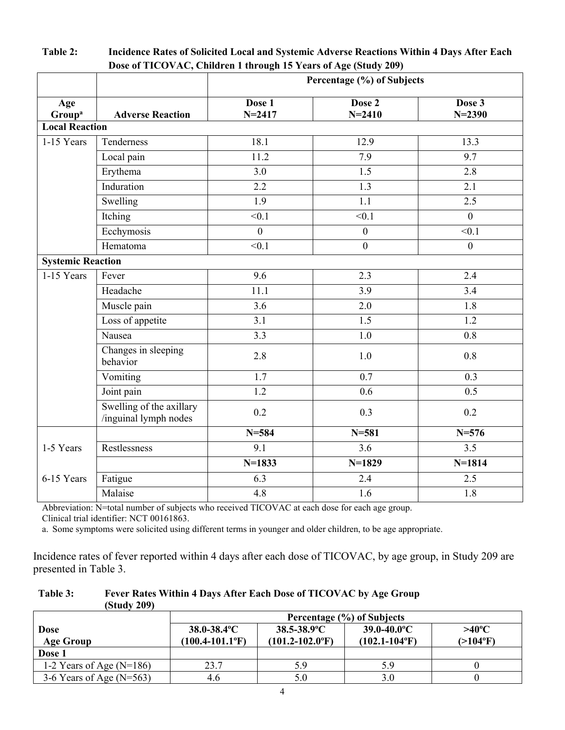|                           |                                                   | Dosc or TTCO $(AC)$ , Chnurch T un ough To Tears or Age (buury 207)<br>Percentage (%) of Subjects |                      |                      |
|---------------------------|---------------------------------------------------|---------------------------------------------------------------------------------------------------|----------------------|----------------------|
| Age<br>Group <sup>a</sup> | <b>Adverse Reaction</b>                           | Dose 1<br>$N = 2417$                                                                              | Dose 2<br>$N = 2410$ | Dose 3<br>$N = 2390$ |
| <b>Local Reaction</b>     |                                                   |                                                                                                   |                      |                      |
| 1-15 Years                | Tenderness                                        | 18.1                                                                                              | 12.9                 | 13.3                 |
|                           | Local pain                                        | 11.2                                                                                              | 7.9                  | 9.7                  |
|                           | Erythema                                          | 3.0                                                                                               | 1.5                  | 2.8                  |
|                           | Induration                                        | $\overline{2.2}$                                                                                  | 1.3                  | 2.1                  |
|                           | Swelling                                          | 1.9                                                                                               | 1.1                  | 2.5                  |
|                           | Itching                                           | < 0.1                                                                                             | < 0.1                | $\overline{0}$       |
|                           | Ecchymosis                                        | $\mathbf{0}$                                                                                      | $\boldsymbol{0}$     | < 0.1                |
|                           | Hematoma                                          | < 0.1                                                                                             | $\mathbf{0}$         | $\mathbf{0}$         |
| <b>Systemic Reaction</b>  |                                                   |                                                                                                   |                      |                      |
| 1-15 Years                | Fever                                             | 9.6                                                                                               | 2.3                  | 2.4                  |
|                           | Headache                                          | 11.1                                                                                              | 3.9                  | 3.4                  |
|                           | Muscle pain                                       | 3.6                                                                                               | 2.0                  | 1.8                  |
|                           | Loss of appetite                                  | 3.1                                                                                               | 1.5                  | 1.2                  |
|                           | Nausea                                            | 3.3                                                                                               | 1.0                  | 0.8                  |
|                           | Changes in sleeping<br>behavior                   | 2.8                                                                                               | 1.0                  | 0.8                  |
|                           | Vomiting                                          | 1.7                                                                                               | 0.7                  | 0.3                  |
|                           | Joint pain                                        | 1.2                                                                                               | 0.6                  | 0.5                  |
|                           | Swelling of the axillary<br>/inguinal lymph nodes | 0.2                                                                                               | 0.3                  | 0.2                  |
|                           |                                                   | $N = 584$                                                                                         | $N = 581$            | $N = 576$            |
| 1-5 Years                 | Restlessness                                      | $\overline{9.1}$                                                                                  | $\overline{3.6}$     | $\overline{3.5}$     |
|                           |                                                   | $N=1833$                                                                                          | $N=1829$             | $N = 1814$           |
| 6-15 Years                | Fatigue                                           | 6.3                                                                                               | 2.4                  | 2.5                  |
|                           | Malaise                                           | 4.8                                                                                               | 1.6                  | 1.8                  |

**Table 2: Incidence Rates of Solicited Local and Systemic Adverse Reactions Within 4 Days After Each Dose of TICOVAC, Children 1 through 15 Years of Age (Study 209)**

Abbreviation: N=total number of subjects who received TICOVAC at each dose for each age group.

Clinical trial identifier: NCT 00161863.

a. Some symptoms were solicited using different terms in younger and older children, to be age appropriate.

Incidence rates of fever reported within 4 days after each dose of TICOVAC, by age group, in Study 209 are presented in Table 3.

| Table 3: | Fever Rates Within 4 Days After Each Dose of TICOVAC by Age Group |
|----------|-------------------------------------------------------------------|
|          | (Study 209)                                                       |

|                            | Percentage (%) of Subjects       |                                  |                                |                         |
|----------------------------|----------------------------------|----------------------------------|--------------------------------|-------------------------|
| <b>Dose</b>                | $38.0 - 38.4$ <sup>o</sup> C     | $38.5 - 38.9$ °C                 | $39.0 - 40.0$ °C               | $>40^{\circ}$ C         |
| <b>Age Group</b>           | $(100.4 - 101.1$ <sup>o</sup> F) | $(101.2 - 102.0$ <sup>o</sup> F) | $(102.1 - 104$ <sup>o</sup> F) | $(>104$ <sup>o</sup> F) |
| Dose 1                     |                                  |                                  |                                |                         |
| 1-2 Years of Age $(N=186)$ | 23.7                             | 5.9                              | 5.9                            |                         |
| 3-6 Years of Age $(N=563)$ | 4.6                              |                                  | 3.0                            |                         |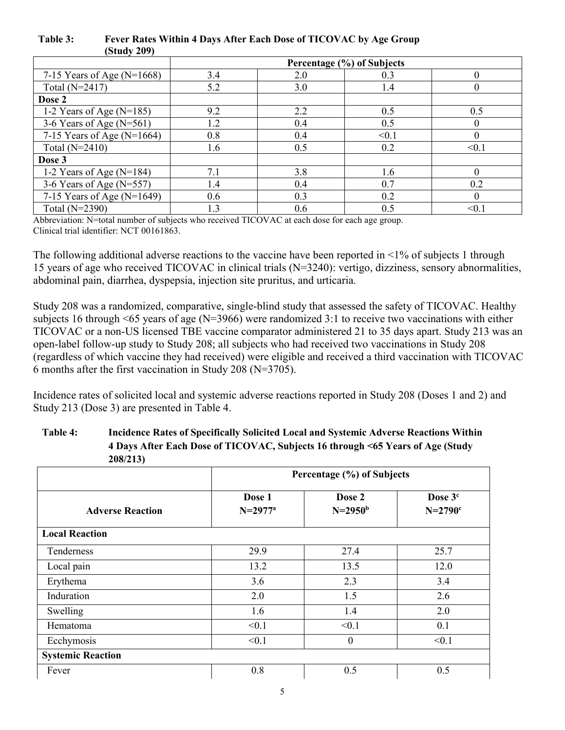| (0.000, 207)                   |     |                            |       |          |
|--------------------------------|-----|----------------------------|-------|----------|
|                                |     | Percentage (%) of Subjects |       |          |
| 7-15 Years of Age ( $N=1668$ ) | 3.4 | 2.0                        | 0.3   | $\Omega$ |
| Total (N=2417)                 | 5.2 | 3.0                        | 1.4   | $\theta$ |
| Dose 2                         |     |                            |       |          |
| 1-2 Years of Age $(N=185)$     | 9.2 | 2.2                        | 0.5   | 0.5      |
| 3-6 Years of Age $(N=561)$     | 1.2 | 0.4                        | 0.5   | $\Omega$ |
| 7-15 Years of Age (N=1664)     | 0.8 | 0.4                        | < 0.1 | $\Omega$ |
| Total $(N=2410)$               | 1.6 | 0.5                        | 0.2   | < 0.1    |
| Dose 3                         |     |                            |       |          |
| 1-2 Years of Age $(N=184)$     | 7.1 | 3.8                        | 1.6   |          |
| 3-6 Years of Age $(N=557)$     | 1.4 | 0.4                        | 0.7   | 0.2      |
| 7-15 Years of Age $(N=1649)$   | 0.6 | 0.3                        | 0.2   | $\Omega$ |
| Total (N=2390)                 | 1.3 | 0.6                        | 0.5   | < 0.1    |

### **Table 3: Fever Rates Within 4 Days After Each Dose of TICOVAC by Age Group (Study 209)**

Abbreviation: N=total number of subjects who received TICOVAC at each dose for each age group. Clinical trial identifier: NCT 00161863.

The following additional adverse reactions to the vaccine have been reported in  $\leq 1\%$  of subjects 1 through 15 years of age who received TICOVAC in clinical trials (N=3240): vertigo, dizziness, sensory abnormalities, abdominal pain, diarrhea, dyspepsia, injection site pruritus, and urticaria.

Study 208 was a randomized, comparative, single-blind study that assessed the safety of TICOVAC. Healthy subjects 16 through <65 years of age (N=3966) were randomized 3:1 to receive two vaccinations with either TICOVAC or a non-US licensed TBE vaccine comparator administered 21 to 35 days apart. Study 213 was an open-label follow-up study to Study 208; all subjects who had received two vaccinations in Study 208 (regardless of which vaccine they had received) were eligible and received a third vaccination with TICOVAC 6 months after the first vaccination in Study 208 (N=3705).

Incidence rates of solicited local and systemic adverse reactions reported in Study 208 (Doses 1 and 2) and Study 213 (Dose 3) are presented in Table 4.

| Table 4: | Incidence Rates of Specifically Solicited Local and Systemic Adverse Reactions Within |
|----------|---------------------------------------------------------------------------------------|
|          | 4 Days After Each Dose of TICOVAC, Subjects 16 through <65 Years of Age (Study        |
|          | 208/213)                                                                              |

|                          | Percentage (%) of Subjects |                        |                                         |
|--------------------------|----------------------------|------------------------|-----------------------------------------|
| <b>Adverse Reaction</b>  | Dose 1<br>$N=2977^a$       | Dose 2<br>$N = 2950^b$ | Dose 3 <sup>c</sup><br>$N=2790^{\circ}$ |
| <b>Local Reaction</b>    |                            |                        |                                         |
| Tenderness               | 29.9                       | 27.4                   | 25.7                                    |
| Local pain               | 13.2                       | 13.5                   | 12.0                                    |
| Erythema                 | 3.6                        | 2.3                    | 3.4                                     |
| Induration               | 2.0                        | 1.5                    | 2.6                                     |
| Swelling                 | 1.6                        | 1.4                    | 2.0                                     |
| Hematoma                 | < 0.1                      | < 0.1                  | 0.1                                     |
| Ecchymosis               | < 0.1                      | $\overline{0}$         | < 0.1                                   |
| <b>Systemic Reaction</b> |                            |                        |                                         |
| Fever                    | 0.8                        | 0.5                    | 0.5                                     |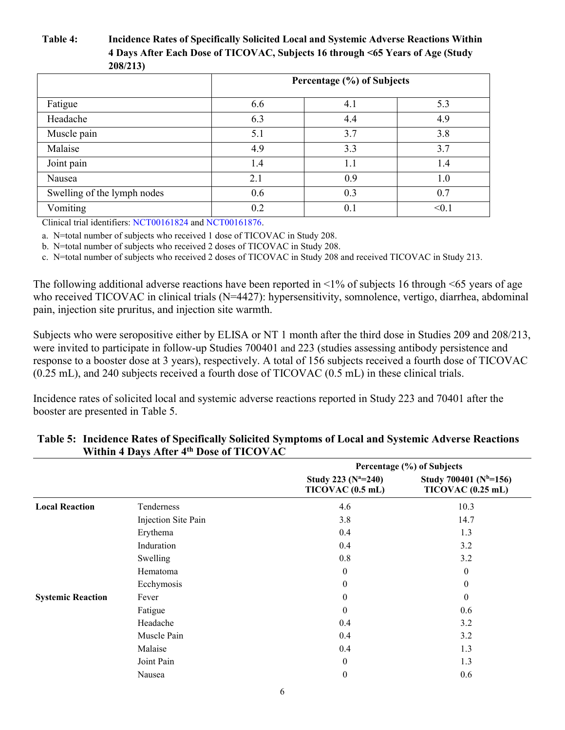## **Table 4: Incidence Rates of Specifically Solicited Local and Systemic Adverse Reactions Within 4 Days After Each Dose of TICOVAC, Subjects 16 through <65 Years of Age (Study 208/213)**

|                             | Percentage (%) of Subjects |     |       |
|-----------------------------|----------------------------|-----|-------|
| Fatigue                     | 6.6                        | 4.1 | 5.3   |
| Headache                    | 6.3                        | 4.4 | 4.9   |
| Muscle pain                 | 5.1                        | 3.7 | 3.8   |
| Malaise                     | 4.9                        | 3.3 | 3.7   |
| Joint pain                  | 1.4                        | 1.1 | 1.4   |
| Nausea                      | 2.1                        | 0.9 | 1.0   |
| Swelling of the lymph nodes | 0.6                        | 0.3 | 0.7   |
| Vomiting                    | 0.2                        | 0.1 | < 0.1 |

Clinical trial identifiers: [NCT00161824](https://www.clinicaltrial.gov/ct2/show/NCT00161824?term=202&spons=baxter&rank=5) and [NCT00161876.](https://www.clinicaltrial.gov/ct2/show/NCT00161876?term=202&spons=baxter&rank=4)

a. N=total number of subjects who received 1 dose of TICOVAC in Study 208.

b. N=total number of subjects who received 2 doses of TICOVAC in Study 208.

c. N=total number of subjects who received 2 doses of TICOVAC in Study 208 and received TICOVAC in Study 213.

The following additional adverse reactions have been reported in <1% of subjects 16 through <65 years of age who received TICOVAC in clinical trials (N=4427): hypersensitivity, somnolence, vertigo, diarrhea, abdominal pain, injection site pruritus, and injection site warmth.

Subjects who were seropositive either by ELISA or NT 1 month after the third dose in Studies 209 and 208/213, were invited to participate in follow-up Studies 700401 and 223 (studies assessing antibody persistence and response to a booster dose at 3 years), respectively. A total of 156 subjects received a fourth dose of TICOVAC (0.25 mL), and 240 subjects received a fourth dose of TICOVAC (0.5 mL) in these clinical trials.

Incidence rates of solicited local and systemic adverse reactions reported in Study 223 and 70401 after the booster are presented in Table 5.

|                          |                     | Percentage (%) of Subjects                  |                                                   |
|--------------------------|---------------------|---------------------------------------------|---------------------------------------------------|
|                          |                     | Study 223 ( $N^2=240$ )<br>TICOVAC (0.5 mL) | Study 700401 ( $N^{b}=156$ )<br>TICOVAC (0.25 mL) |
| <b>Local Reaction</b>    | Tenderness          | 4.6                                         | 10.3                                              |
|                          | Injection Site Pain | 3.8                                         | 14.7                                              |
|                          | Erythema            | 0.4                                         | 1.3                                               |
|                          | Induration          | 0.4                                         | 3.2                                               |
|                          | Swelling            | 0.8                                         | 3.2                                               |
|                          | Hematoma            | $\mathbf{0}$                                | $\theta$                                          |
|                          | Ecchymosis          | $\theta$                                    | $\theta$                                          |
| <b>Systemic Reaction</b> | Fever               | $\theta$                                    | $\Omega$                                          |
|                          | Fatigue             | $\theta$                                    | 0.6                                               |
|                          | Headache            | 0.4                                         | 3.2                                               |
|                          | Muscle Pain         | 0.4                                         | 3.2                                               |
|                          | Malaise             | 0.4                                         | 1.3                                               |
|                          | Joint Pain          | $\theta$                                    | 1.3                                               |
|                          | Nausea              | $\boldsymbol{0}$                            | 0.6                                               |

### **Table 5: Incidence Rates of Specifically Solicited Symptoms of Local and Systemic Adverse Reactions Within 4 Days After 4th Dose of TICOVAC**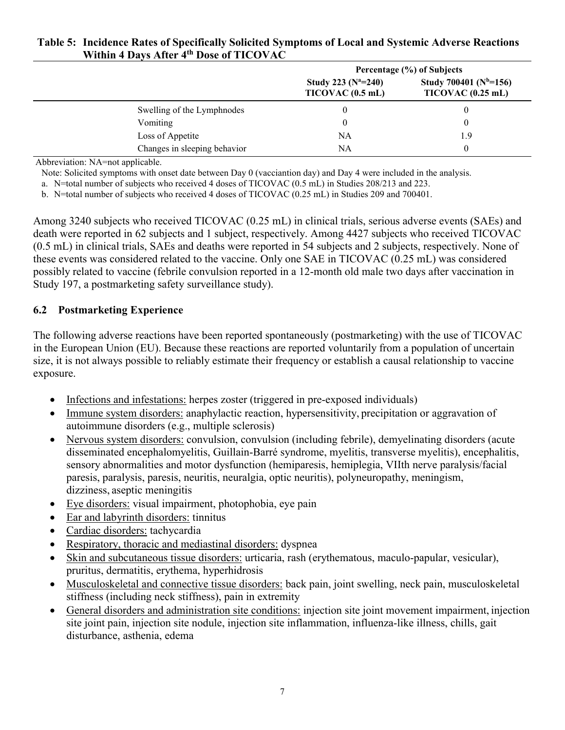|                              | Percentage (%) of Subjects                    |                                                |
|------------------------------|-----------------------------------------------|------------------------------------------------|
|                              | Study 223 ( $N^a = 240$ )<br>TICOVAC (0.5 mL) | Study 700401 ( $Nb=156$ )<br>TICOVAC (0.25 mL) |
| Swelling of the Lymphnodes   |                                               |                                                |
| Vomiting                     |                                               |                                                |
| Loss of Appetite             | NΑ                                            | 1.9                                            |
| Changes in sleeping behavior | NA                                            |                                                |

## **Table 5: Incidence Rates of Specifically Solicited Symptoms of Local and Systemic Adverse Reactions Within 4 Days After 4th Dose of TICOVAC**

Abbreviation: NA=not applicable.

Note: Solicited symptoms with onset date between Day 0 (vacciantion day) and Day 4 were included in the analysis.

a. N=total number of subjects who received 4 doses of TICOVAC (0.5 mL) in Studies 208/213 and 223.

b. N=total number of subjects who received 4 doses of TICOVAC (0.25 mL) in Studies 209 and 700401.

Among 3240 subjects who received TICOVAC (0.25 mL) in clinical trials, serious adverse events (SAEs) and death were reported in 62 subjects and 1 subject, respectively. Among 4427 subjects who received TICOVAC (0.5 mL) in clinical trials, SAEs and deaths were reported in 54 subjects and 2 subjects, respectively. None of these events was considered related to the vaccine. Only one SAE in TICOVAC (0.25 mL) was considered possibly related to vaccine (febrile convulsion reported in a 12-month old male two days after vaccination in Study 197, a postmarketing safety surveillance study).

### **6.2 Postmarketing Experience**

The following adverse reactions have been reported spontaneously (postmarketing) with the use of TICOVAC in the European Union (EU). Because these reactions are reported voluntarily from a population of uncertain size, it is not always possible to reliably estimate their frequency or establish a causal relationship to vaccine exposure.

- Infections and infestations: herpes zoster (triggered in pre-exposed individuals)
- Immune system disorders: anaphylactic reaction, hypersensitivity, precipitation or aggravation of autoimmune disorders (e.g., multiple sclerosis)
- Nervous system disorders: convulsion, convulsion (including febrile), demyelinating disorders (acute disseminated encephalomyelitis, Guillain-Barré syndrome, myelitis, transverse myelitis), encephalitis, sensory abnormalities and motor dysfunction (hemiparesis, hemiplegia, VIIth nerve paralysis/facial paresis, paralysis, paresis, neuritis, neuralgia, optic neuritis), polyneuropathy, meningism, dizziness, aseptic meningitis
- Eye disorders: visual impairment, photophobia, eye pain
- Ear and labyrinth disorders: tinnitus
- Cardiac disorders: tachycardia
- Respiratory, thoracic and mediastinal disorders: dyspnea
- Skin and subcutaneous tissue disorders: urticaria, rash (erythematous, maculo-papular, vesicular), pruritus, dermatitis, erythema, hyperhidrosis
- Musculoskeletal and connective tissue disorders: back pain, joint swelling, neck pain, musculoskeletal stiffness (including neck stiffness), pain in extremity
- General disorders and administration site conditions: injection site joint movement impairment, injection site joint pain, injection site nodule, injection site inflammation, influenza-like illness, chills, gait disturbance, asthenia, edema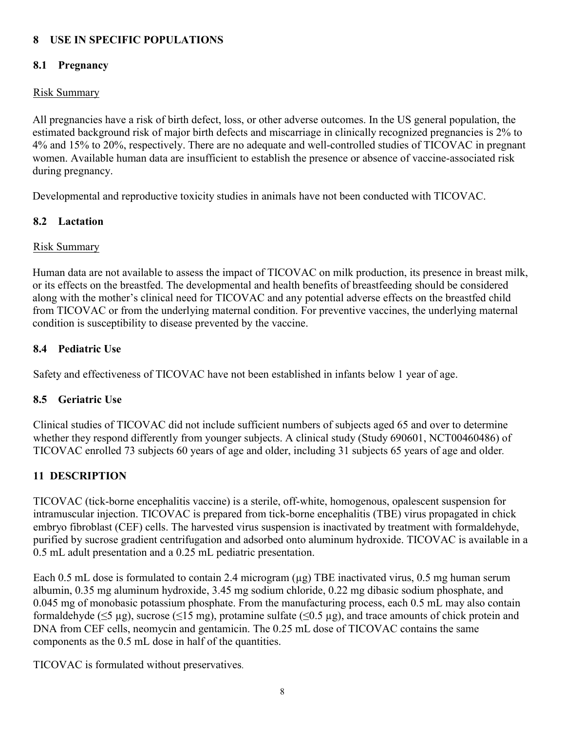## **8 USE IN SPECIFIC POPULATIONS**

## **8.1 Pregnancy**

## Risk Summary

All pregnancies have a risk of birth defect, loss, or other adverse outcomes. In the US general population, the estimated background risk of major birth defects and miscarriage in clinically recognized pregnancies is 2% to 4% and 15% to 20%, respectively. There are no adequate and well-controlled studies of TICOVAC in pregnant women. Available human data are insufficient to establish the presence or absence of vaccine-associated risk during pregnancy.

Developmental and reproductive toxicity studies in animals have not been conducted with TICOVAC.

## **8.2 Lactation**

## Risk Summary

Human data are not available to assess the impact of TICOVAC on milk production, its presence in breast milk, or its effects on the breastfed. The developmental and health benefits of breastfeeding should be considered along with the mother's clinical need for TICOVAC and any potential adverse effects on the breastfed child from TICOVAC or from the underlying maternal condition. For preventive vaccines, the underlying maternal condition is susceptibility to disease prevented by the vaccine.

## **8.4 Pediatric Use**

Safety and effectiveness of TICOVAC have not been established in infants below 1 year of age.

## **8.5 Geriatric Use**

Clinical studies of TICOVAC did not include sufficient numbers of subjects aged 65 and over to determine whether they respond differently from younger subjects. A clinical study (Study 690601, NCT00460486) of TICOVAC enrolled 73 subjects 60 years of age and older, including 31 subjects 65 years of age and older*.* 

## **11 DESCRIPTION**

TICOVAC (tick-borne encephalitis vaccine) is a sterile, off-white, homogenous, opalescent suspension for intramuscular injection. TICOVAC is prepared from tick-borne encephalitis (TBE) virus propagated in chick embryo fibroblast (CEF) cells. The harvested virus suspension is inactivated by treatment with formaldehyde, purified by sucrose gradient centrifugation and adsorbed onto aluminum hydroxide. TICOVAC is available in a 0.5 mL adult presentation and a 0.25 mL pediatric presentation.

Each 0.5 mL dose is formulated to contain 2.4 microgram (µg) TBE inactivated virus, 0.5 mg human serum albumin, 0.35 mg aluminum hydroxide, 3.45 mg sodium chloride, 0.22 mg dibasic sodium phosphate, and 0.045 mg of monobasic potassium phosphate. From the manufacturing process, each 0.5 mL may also contain formaldehyde ( $\leq$ 5 µg), sucrose ( $\leq$ 15 mg), protamine sulfate ( $\leq$ 0.5 µg), and trace amounts of chick protein and DNA from CEF cells, neomycin and gentamicin. The 0.25 mL dose of TICOVAC contains the same components as the 0.5 mL dose in half of the quantities.

TICOVAC is formulated without preservatives.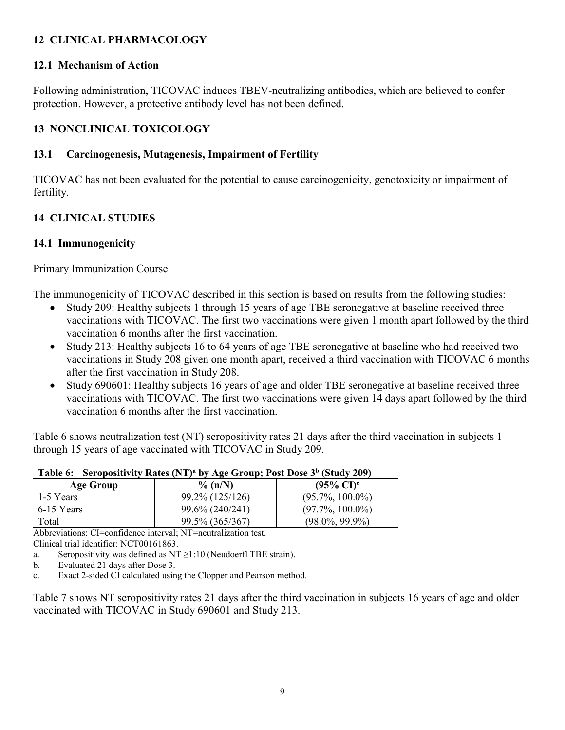# **12 CLINICAL PHARMACOLOGY**

## **12.1 Mechanism of Action**

Following administration, TICOVAC induces TBEV-neutralizing antibodies, which are believed to confer protection. However, a protective antibody level has not been defined.

# **13 NONCLINICAL TOXICOLOGY**

## **13.1 Carcinogenesis, Mutagenesis, Impairment of Fertility**

TICOVAC has not been evaluated for the potential to cause carcinogenicity, genotoxicity or impairment of fertility.

# **14 CLINICAL STUDIES**

## **14.1 Immunogenicity**

## Primary Immunization Course

The immunogenicity of TICOVAC described in this section is based on results from the following studies:

- Study 209: Healthy subjects 1 through 15 years of age TBE seronegative at baseline received three vaccinations with TICOVAC. The first two vaccinations were given 1 month apart followed by the third vaccination 6 months after the first vaccination.
- Study 213: Healthy subjects 16 to 64 years of age TBE seronegative at baseline who had received two vaccinations in Study 208 given one month apart, received a third vaccination with TICOVAC 6 months after the first vaccination in Study 208.
- Study 690601: Healthy subjects 16 years of age and older TBE seronegative at baseline received three vaccinations with TICOVAC. The first two vaccinations were given 14 days apart followed by the third vaccination 6 months after the first vaccination.

Table 6 shows neutralization test (NT) seropositivity rates 21 days after the third vaccination in subjects 1 through 15 years of age vaccinated with TICOVAC in Study 209.

| Age Group  | $\%$ (n/N)      | $(95\% \text{ CI})^c$ |
|------------|-----------------|-----------------------|
| 1-5 Years  | 99.2% (125/126) | $(95.7\%, 100.0\%)$   |
| 6-15 Years | 99.6% (240/241) | $(97.7\%, 100.0\%)$   |
| Total      | 99.5% (365/367) | $(98.0\%, 99.9\%)$    |

**Table 6: Seropositivity Rates (NT)<sup>a</sup> by Age Group; Post Dose 3<sup>b</sup> (Study 209)**

Abbreviations: CI=confidence interval; NT=neutralization test. Clinical trial identifier: NCT00161863.

a. Seropositivity was defined as  $NT \ge 1:10$  (Neudoerfl TBE strain).

b. Evaluated 21 days after Dose 3.

c. Exact 2-sided CI calculated using the Clopper and Pearson method.

Table 7 shows NT seropositivity rates 21 days after the third vaccination in subjects 16 years of age and older vaccinated with TICOVAC in Study 690601 and Study 213.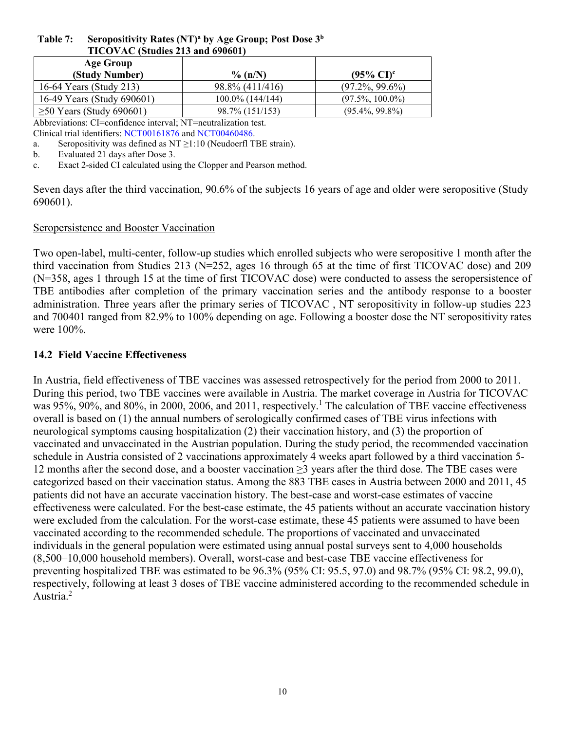| TICOVAC (Studies 213 and 690601) |                     |                       |
|----------------------------------|---------------------|-----------------------|
| <b>Age Group</b>                 |                     |                       |
| (Study Number)                   | $\%$ (n/N)          | $(95\% \text{ CI})^c$ |
| 16-64 Years (Study 213)          | 98.8% (411/416)     | $(97.2\%, 99.6\%)$    |
| 16-49 Years (Study 690601)       | $100.0\%$ (144/144) | $(97.5\%, 100.0\%)$   |
| $\geq 50$ Years (Study 690601)   | 98.7% (151/153)     | $(95.4\%, 99.8\%)$    |

## **Table 7: Seropositivity Rates (NT)<sup>a</sup> by Age Group; Post Dose 3<sup>b</sup> TICOVAC (Studies 213 and 690601)**

Abbreviations: CI=confidence interval; NT=neutralization test. Clinical trial identifiers: [NCT00161876](https://www.clinicaltrial.gov/ct2/show/NCT00161876?term=202&spons=baxter&rank=4) and [NCT00460486](https://www.clinicaltrial.gov/ct2/show/NCT00460486?term=690601&spons=baxter&rank=1).

a. Seropositivity was defined as  $NT \ge 1:10$  (Neudoerfl TBE strain).

b. Evaluated 21 days after Dose 3.

c. Exact 2-sided CI calculated using the Clopper and Pearson method.

Seven days after the third vaccination, 90.6% of the subjects 16 years of age and older were seropositive (Study 690601).

## Seropersistence and Booster Vaccination

Two open-label, multi-center, follow-up studies which enrolled subjects who were seropositive 1 month after the third vaccination from Studies 213 (N=252, ages 16 through 65 at the time of first TICOVAC dose) and 209 (N=358, ages 1 through 15 at the time of first TICOVAC dose) were conducted to assess the seropersistence of TBE antibodies after completion of the primary vaccination series and the antibody response to a booster administration. Three years after the primary series of TICOVAC , NT seropositivity in follow-up studies 223 and 700401 ranged from 82.9% to 100% depending on age. Following a booster dose the NT seropositivity rates were 100%.

## **14.2 Field Vaccine Effectiveness**

In Austria, field effectiveness of TBE vaccines was assessed retrospectively for the period from 2000 to 2011. During this period, two TBE vaccines were available in Austria. The market coverage in Austria for TICOVAC was 95%, 90%, and 80%, in 2000, 2006, and 2011, respectively.<sup>1</sup> The calculation of TBE vaccine effectiveness overall is based on (1) the annual numbers of serologically confirmed cases of TBE virus infections with neurological symptoms causing hospitalization (2) their vaccination history, and (3) the proportion of vaccinated and unvaccinated in the Austrian population. During the study period, the recommended vaccination schedule in Austria consisted of 2 vaccinations approximately 4 weeks apart followed by a third vaccination 5- 12 months after the second dose, and a booster vaccination ≥3 years after the third dose. The TBE cases were categorized based on their vaccination status. Among the 883 TBE cases in Austria between 2000 and 2011, 45 patients did not have an accurate vaccination history. The best-case and worst-case estimates of vaccine effectiveness were calculated. For the best-case estimate, the 45 patients without an accurate vaccination history were excluded from the calculation. For the worst-case estimate, these 45 patients were assumed to have been vaccinated according to the recommended schedule. The proportions of vaccinated and unvaccinated individuals in the general population were estimated using annual postal surveys sent to 4,000 households (8,500–10,000 household members). Overall, worst-case and best-case TBE vaccine effectiveness for preventing hospitalized TBE was estimated to be 96.3% (95% CI: 95.5, 97.0) and 98.7% (95% CI: 98.2, 99.0), respectively, following at least 3 doses of TBE vaccine administered according to the recommended schedule in Austria.<sup>2</sup>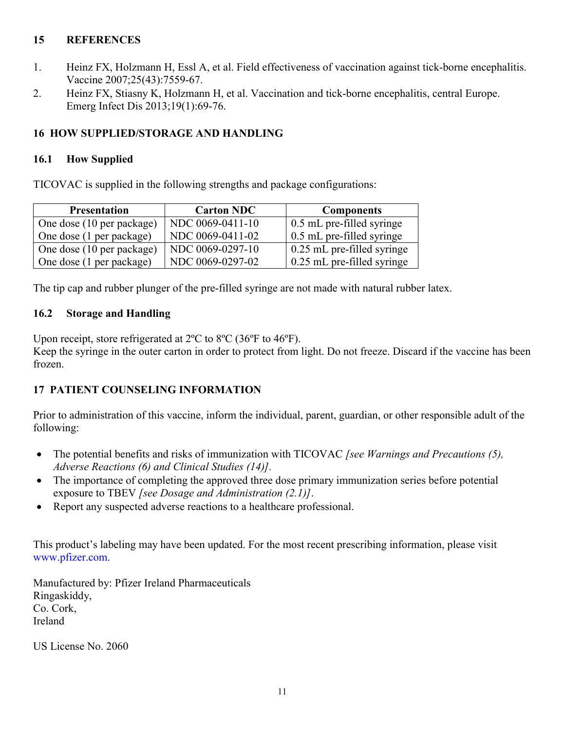# **15 REFERENCES**

- 1. Heinz FX, Holzmann H, Essl A, et al. Field effectiveness of vaccination against tick-borne encephalitis. Vaccine 2007;25(43):7559-67.
- 2. Heinz FX, Stiasny K, Holzmann H, et al. Vaccination and tick-borne encephalitis, central Europe. Emerg Infect Dis 2013;19(1):69-76.

## **16 HOW SUPPLIED/STORAGE AND HANDLING**

## **16.1 How Supplied**

TICOVAC is supplied in the following strengths and package configurations:

| <b>Presentation</b>       | <b>Carton NDC</b> | <b>Components</b>                |
|---------------------------|-------------------|----------------------------------|
| One dose (10 per package) | NDC 0069-0411-10  | $\sim 0.5$ mL pre-filled syringe |
| One dose (1 per package)  | NDC 0069-0411-02  | 0.5 mL pre-filled syringe        |
| One dose (10 per package) | NDC 0069-0297-10  | 0.25 mL pre-filled syringe       |
| One dose (1 per package)  | NDC 0069-0297-02  | $0.25$ mL pre-filled syringe     |

The tip cap and rubber plunger of the pre-filled syringe are not made with natural rubber latex.

## **16.2 Storage and Handling**

Upon receipt, store refrigerated at 2ºC to 8ºC (36ºF to 46ºF).

Keep the syringe in the outer carton in order to protect from light. Do not freeze. Discard if the vaccine has been frozen.

# **17 PATIENT COUNSELING INFORMATION**

Prior to administration of this vaccine, inform the individual, parent, guardian, or other responsible adult of the following:

- The potential benefits and risks of immunization with TICOVAC *[see Warnings and Precautions (5), Adverse Reactions (6) and Clinical Studies (14)].*
- The importance of completing the approved three dose primary immunization series before potential exposure to TBEV *[see Dosage and Administration (2.1)]*.
- Report any suspected adverse reactions to a healthcare professional.

This product's labeling may have been updated. For the most recent prescribing information, please visit [www.pfizer.com.](http://www.pfizer.com/)

Manufactured by: Pfizer Ireland Pharmaceuticals Ringaskiddy, Co. Cork, Ireland

US License No. 2060